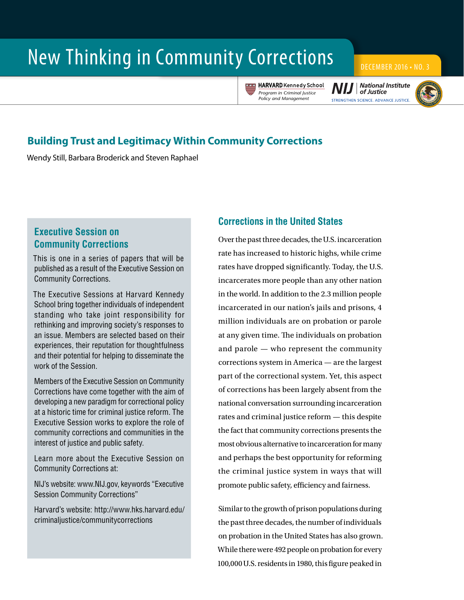# New Thinking in Community Corrections **DECEMBER 2016 • NO. 3**

**V E R I TAS** HARVARD Kennedy School *Program in Criminal Justice Policy and Management*

**National Institute** of Justice STRENGTHEN SCIENCE, ADVANCE JUSTICE



## **Building Trust and Legitimacy Within Community Corrections**

Wendy Still, Barbara Broderick and Steven Raphael

## **Executive Session on Community Corrections**

This is one in a series of papers that will be published as a result of the Executive Session on Community Corrections.

The Executive Sessions at Harvard Kennedy School bring together individuals of independent standing who take joint responsibility for rethinking and improving society's responses to an issue. Members are selected based on their experiences, their reputation for thoughtfulness and their potential for helping to disseminate the work of the Session.

Members of the Executive Session on Community Corrections have come together with the aim of developing a new paradigm for correctional policy at a historic time for criminal justice reform. The Executive Session works to explore the role of community corrections and communities in the interest of justice and public safety.

Learn more about the Executive Session on Community Corrections at:

NIJ's website: www.NIJ.gov, keywords "Executive Session Community Corrections"

Harvard's website: [http://www.hks.harvard.edu/](http://www.hks.harvard.edu/criminaljustice/communitycorrections) [criminaljustice/communitycorrections](http://www.hks.harvard.edu/criminaljustice/communitycorrections)

## **Corrections in the United States**

Over the past three decades, the U.S. incarceration rate has increased to historic highs, while crime rates have dropped signifcantly. Today, the U.S. incarcerates more people than any other nation in the world. In addition to the 2.3 million people incarcerated in our nation's jails and prisons, 4 million individuals are on probation or parole at any given time. The individuals on probation and parole — who represent the community corrections system in America — are the largest part of the correctional system. Yet, this aspect of corrections has been largely absent from the national conversation surrounding incarceration rates and criminal justice reform — this despite the fact that community corrections presents the most obvious alternative to incarceration for many and perhaps the best opportunity for reforming the criminal justice system in ways that will promote public safety, efficiency and fairness.

Similar to the growth of prison populations during the past three decades, the number of individuals on probation in the United States has also grown. While there were 492 people on probation for every 100,000 U.S. residents in 1980, this fgure peaked in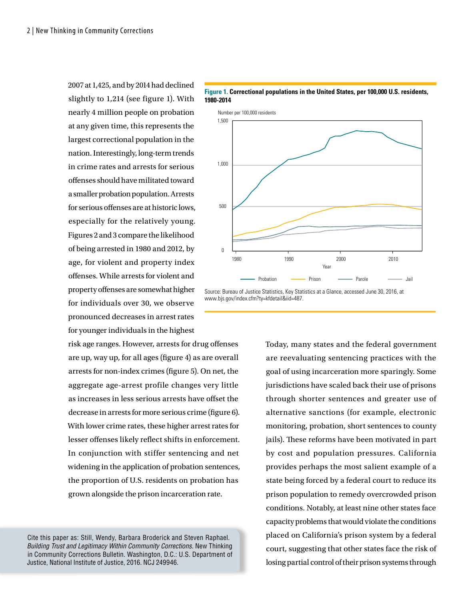2007 at 1,425, and by 2014 had declined slightly to 1,214 (see figure 1). With nearly 4 million people on probation at any given time, this represents the largest correctional population in the nation. Interestingly, long-term trends in crime rates and arrests for serious ofenses should have militated toward a smaller probation population. Arrests for serious ofenses are at historic lows, especially for the relatively young. Figures 2 and 3 compare the likelihood of being arrested in 1980 and 2012, by age, for violent and property index ofenses. While arrests for violent and property offenses are somewhat higher for individuals over 30, we observe pronounced decreases in arrest rates for younger individuals in the highest

risk age ranges. However, arrests for drug ofenses are up, way up, for all ages (fgure 4) as are overall arrests for non-index crimes (fgure 5). On net, the aggregate age-arrest profile changes very little as increases in less serious arrests have ofset the decrease in arrests for more serious crime (figure 6). With lower crime rates, these higher arrest rates for lesser offenses likely reflect shifts in enforcement. In conjunction with stiffer sentencing and net widening in the application of probation sentences, the proportion of U.S. residents on probation has grown alongside the prison incarceration rate.

Cite this paper as: Still, Wendy, Barbara Broderick and Steven Raphael. *Building Trust and Legitimacy Within Community Corrections.* New Thinking in Community Corrections Bulletin. Washington, D.C.: U.S. Department of Justice, National Institute of Justice, 2016. NCJ 249946.



#### **Figure 1. Correctional populations in the United States, per 100,000 U.S. residents, 1980-2014**

Source: Bureau of Justice Statistics, Key Statistics at a Glance, accessed June 30, 2016, at www.bjs.gov/index.cfm?ty=kfdetail&iid=487.

> Today, many states and the federal government are reevaluating sentencing practices with the goal of using incarceration more sparingly. Some jurisdictions have scaled back their use of prisons through shorter sentences and greater use of alternative sanctions (for example, electronic monitoring, probation, short sentences to county jails). These reforms have been motivated in part by cost and population pressures. California provides perhaps the most salient example of a state being forced by a federal court to reduce its prison population to remedy overcrowded prison conditions. Notably, at least nine other states face capacity problems that would violate the conditions placed on California's prison system by a federal court, suggesting that other states face the risk of losing partial control of their prison systems through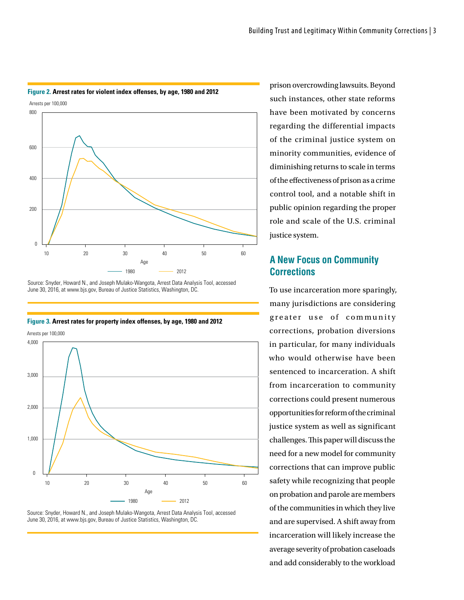

#### **Figure 2. Arrest rates for violent index offenses, by age, 1980 and 2012**

Source: Snyder, Howard N., and Joseph Mulako-Wangota, Arrest Data Analysis Tool, accessed June 30, 2016, at www.bjs.gov, Bureau of Justice Statistics, Washington, DC.



**Figure 3. Arrest rates for property index offenses, by age, 1980 and 2012**

Source: Snyder, Howard N., and Joseph Mulako-Wangota, Arrest Data Analysis Tool, accessed June 30, 2016, at www.bjs.gov, Bureau of Justice Statistics, Washington, DC.

prison overcrowding lawsuits. Beyond such instances, other state reforms have been motivated by concerns regarding the differential impacts of the criminal justice system on minority communities, evidence of diminishing returns to scale in terms of the efectiveness of prison as a crime control tool, and a notable shift in public opinion regarding the proper role and scale of the U.S. criminal justice system.

## **A New Focus on Community Corrections**

To use incarceration more sparingly, many jurisdictions are considering greater use of community corrections, probation diversions in particular, for many individuals who would otherwise have been sentenced to incarceration. A shift from incarceration to community corrections could present numerous opportunities for reform of the criminal justice system as well as significant challenges. This paper will discuss the need for a new model for community corrections that can improve public safety while recognizing that people on probation and parole are members of the communities in which they live and are supervised. A shift away from incarceration will likely increase the average severity of probation caseloads and add considerably to the workload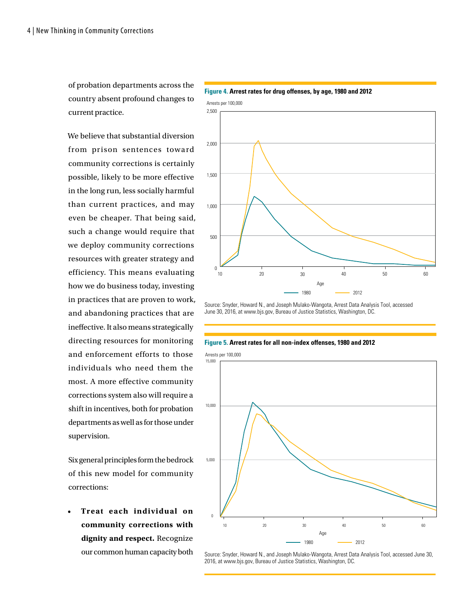of probation departments across the country absent profound changes to current practice.

We believe that substantial diversion from prison sentences toward community corrections is certainly possible, likely to be more effective in the long run, less socially harmful than current practices, and may even be cheaper. That being said, such a change would require that we deploy community corrections resources with greater strategy and efficiency. This means evaluating how we do business today, investing in practices that are proven to work, and abandoning practices that are inefective. It also means strategically directing resources for monitoring and enforcement efforts to those individuals who need them the most. A more effective community corrections system also will require a shift in incentives, both for probation departments as well as for those under supervision.

Six general principles form the bedrock of this new model for community corrections:

• **Treat each individual on community corrections with dignity and respect.** Recognize our common human capacity both



**Figure 4. Arrest rates for drug offenses, by age, 1980 and 2012**

Source: Snyder, Howard N., and Joseph Mulako-Wangota, Arrest Data Analysis Tool, accessed June 30, 2016, at www.bjs.gov, Bureau of Justice Statistics, Washington, DC.

#### **Figure 5. Arrest rates for all non-index offenses, 1980 and 2012**

Arrests per 100,000



Source: Snyder, Howard N., and Joseph Mulako-Wangota, Arrest Data Analysis Tool, accessed June 30, 2016, at www.bjs.gov, Bureau of Justice Statistics, Washington, DC.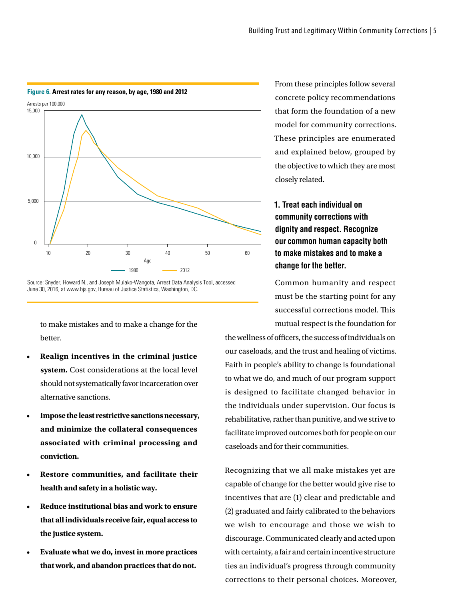

#### **Figure 6. Arrest rates for any reason, by age, 1980 and 2012**

Source: Snyder, Howard N., and Joseph Mulako-Wangota, Arrest Data Analysis Tool, accessed June 30, 2016, at www.bjs.gov, Bureau of Justice Statistics, Washington, DC.

to make mistakes and to make a change for the better.

- **Realign incentives in the criminal justice system.** Cost considerations at the local level should not systematically favor incarceration over alternative sanctions.
- **Impose the least restrictive sanctions necessary, and minimize the collateral consequences associated with criminal processing and conviction.**
- **Restore communities, and facilitate their health and safety in a holistic way.**
- **Reduce institutional bias and work to ensure that all individuals receive fair, equal access to the justice system.**
- **Evaluate what we do, invest in more practices that work, and abandon practices that do not.**

From these principles follow several concrete policy recommendations that form the foundation of a new model for community corrections. These principles are enumerated and explained below, grouped by the objective to which they are most closely related.

## **1. Treat each individual on community corrections with dignity and respect. Recognize our common human capacity both to make mistakes and to make a change for the better.**

Common humanity and respect must be the starting point for any successful corrections model. This mutual respect is the foundation for

the wellness of officers, the success of individuals on our caseloads, and the trust and healing of victims. Faith in people's ability to change is foundational to what we do, and much of our program support is designed to facilitate changed behavior in the individuals under supervision. Our focus is rehabilitative, rather than punitive, and we strive to facilitate improved outcomes both for people on our caseloads and for their communities.

Recognizing that we all make mistakes yet are capable of change for the better would give rise to incentives that are (1) clear and predictable and (2) graduated and fairly calibrated to the behaviors we wish to encourage and those we wish to discourage. Communicated clearly and acted upon with certainty, a fair and certain incentive structure ties an individual's progress through community corrections to their personal choices. Moreover,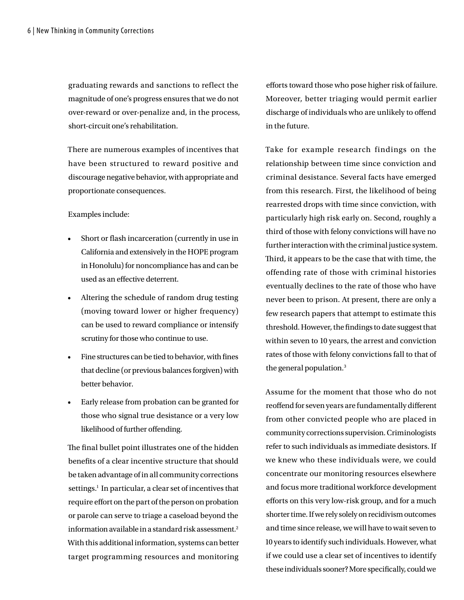graduating rewards and sanctions to reflect the magnitude of one's progress ensures that we do not over-reward or over-penalize and, in the process, short-circuit one's rehabilitation.

There are numerous examples of incentives that have been structured to reward positive and discourage negative behavior, with appropriate and proportionate consequences.

Examples include:

- Short or flash incarceration (currently in use in California and extensively in the HOPE program in Honolulu) for noncompliance has and can be used as an efective deterrent.
- Altering the schedule of random drug testing (moving toward lower or higher frequency) can be used to reward compliance or intensify scrutiny for those who continue to use.
- Fine structures can be tied to behavior, with fines that decline (or previous balances forgiven) with better behavior.
- Early release from probation can be granted for those who signal true desistance or a very low likelihood of further ofending.

The final bullet point illustrates one of the hidden benefits of a clear incentive structure that should be taken advantage of in all community corrections settings.<sup>1</sup> In particular, a clear set of incentives that require efort on the part of the person on probation or parole can serve to triage a caseload beyond the information available in a standard risk assessment. $^2$ With this additional information, systems can better target programming resources and monitoring eforts toward those who pose higher risk of failure. Moreover, better triaging would permit earlier discharge of individuals who are unlikely to ofend in the future.

Take for example research findings on the relationship between time since conviction and criminal desistance. Several facts have emerged from this research. First, the likelihood of being rearrested drops with time since conviction, with particularly high risk early on. Second, roughly a third of those with felony convictions will have no further interaction with the criminal justice system. Third, it appears to be the case that with time, the offending rate of those with criminal histories eventually declines to the rate of those who have never been to prison. At present, there are only a few research papers that attempt to estimate this threshold. However, the fndings to date suggest that within seven to 10 years, the arrest and conviction rates of those with felony convictions fall to that of the general population.<sup>3</sup>

Assume for the moment that those who do not reoffend for seven years are fundamentally different from other convicted people who are placed in community corrections supervision. Criminologists refer to such individuals as immediate desistors. If we knew who these individuals were, we could concentrate our monitoring resources elsewhere and focus more traditional workforce development eforts on this very low-risk group, and for a much shorter time. If we rely solely on recidivism outcomes and time since release, we will have to wait seven to 10 years to identify such individuals. However, what if we could use a clear set of incentives to identify these individuals sooner? More specifcally, could we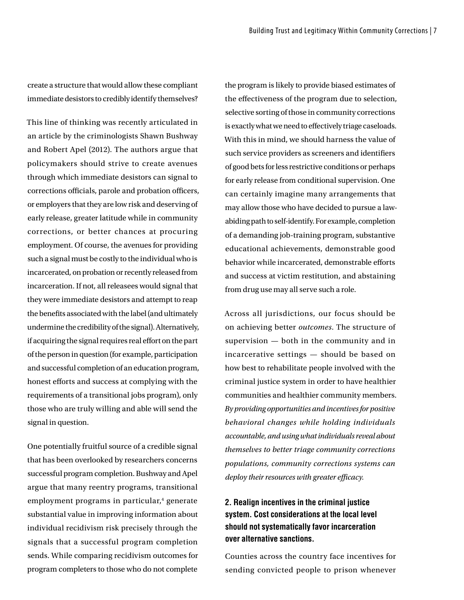create a structure that would allow these compliant immediate desistors to credibly identify themselves?

This line of thinking was recently articulated in an article by the criminologists Shawn Bushway and Robert Apel (2012). The authors argue that policymakers should strive to create avenues through which immediate desistors can signal to corrections officials, parole and probation officers, or employers that they are low risk and deserving of early release, greater latitude while in community corrections, or better chances at procuring employment. Of course, the avenues for providing such a signal must be costly to the individual who is incarcerated, on probation or recently released from incarceration. If not, all releasees would signal that they were immediate desistors and attempt to reap the benefts associated with the label (and ultimately undermine the credibility of the signal). Alternatively, if acquiring the signal requires real effort on the part of the person in question (for example, participation and successful completion of an education program, honest efforts and success at complying with the requirements of a transitional jobs program), only those who are truly willing and able will send the signal in question.

One potentially fruitful source of a credible signal that has been overlooked by researchers concerns successful program completion. Bushway and Apel argue that many reentry programs, transitional employment programs in particular,<sup>4</sup> generate substantial value in improving information about individual recidivism risk precisely through the signals that a successful program completion sends. While comparing recidivism outcomes for program completers to those who do not complete

the program is likely to provide biased estimates of the efectiveness of the program due to selection, selective sorting of those in community corrections is exactly what we need to efectively triage caseloads. With this in mind, we should harness the value of such service providers as screeners and identifers of good bets for less restrictive conditions or perhaps for early release from conditional supervision. One can certainly imagine many arrangements that may allow those who have decided to pursue a lawabiding path to self-identify. For example, completion of a demanding job-training program, substantive educational achievements, demonstrable good behavior while incarcerated, demonstrable efforts and success at victim restitution, and abstaining from drug use may all serve such a role.

Across all jurisdictions, our focus should be on achieving better *outcomes*. The structure of supervision — both in the community and in incarcerative settings — should be based on how best to rehabilitate people involved with the criminal justice system in order to have healthier communities and healthier community members. *By providing opportunities and incentives for positive behavioral changes while holding individuals accountable, and using what individuals reveal about themselves to better triage community corrections populations, community corrections systems can deploy their resources with greater efcacy.*

## **2. Realign incentives in the criminal justice system. Cost considerations at the local level should not systematically favor incarceration over alternative sanctions.**

Counties across the country face incentives for sending convicted people to prison whenever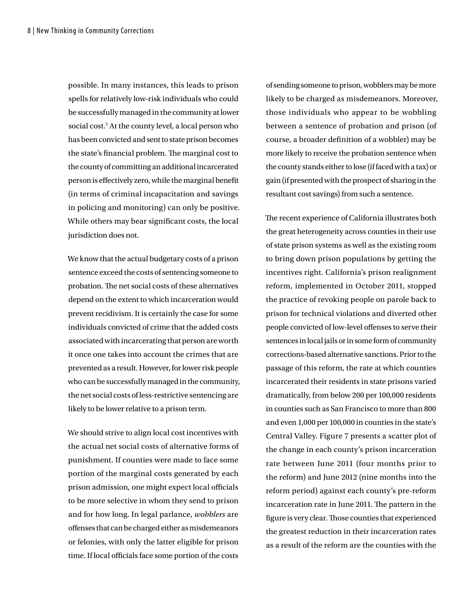possible. In many instances, this leads to prison spells for relatively low-risk individuals who could be successfully managed in the community at lower social cost.<sup>5</sup> At the county level, a local person who has been convicted and sent to state prison becomes the state's financial problem. The marginal cost to the county of committing an additional incarcerated person is efectively zero, while the marginal beneft (in terms of criminal incapacitation and savings in policing and monitoring) can only be positive. While others may bear signifcant costs, the local jurisdiction does not.

We know that the actual budgetary costs of a prison sentence exceed the costs of sentencing someone to probation. The net social costs of these alternatives depend on the extent to which incarceration would prevent recidivism. It is certainly the case for some individuals convicted of crime that the added costs associated with incarcerating that person are worth it once one takes into account the crimes that are prevented as a result. However, for lower risk people who can be successfully managed in the community, the net social costs of less-restrictive sentencing are likely to be lower relative to a prison term.

We should strive to align local cost incentives with the actual net social costs of alternative forms of punishment. If counties were made to face some portion of the marginal costs generated by each prison admission, one might expect local officials to be more selective in whom they send to prison and for how long. In legal parlance, *wobblers* are ofenses that can be charged either as misdemeanors or felonies, with only the latter eligible for prison time. If local officials face some portion of the costs

of sending someone to prison, wobblers may be more likely to be charged as misdemeanors. Moreover, those individuals who appear to be wobbling between a sentence of probation and prison (of course, a broader defnition of a wobbler) may be more likely to receive the probation sentence when the county stands either to lose (if faced with a tax) or gain (if presented with the prospect of sharing in the resultant cost savings) from such a sentence.

The recent experience of California illustrates both the great heterogeneity across counties in their use of state prison systems as well as the existing room to bring down prison populations by getting the incentives right. California's prison realignment reform, implemented in October 2011, stopped the practice of revoking people on parole back to prison for technical violations and diverted other people convicted of low-level offenses to serve their sentences in local jails or in some form of community corrections-based alternative sanctions. Prior to the passage of this reform, the rate at which counties incarcerated their residents in state prisons varied dramatically, from below 200 per 100,000 residents in counties such as San Francisco to more than 800 and even 1,000 per 100,000 in counties in the state's Central Valley. Figure 7 presents a scatter plot of the change in each county's prison incarceration rate between June 2011 (four months prior to the reform) and June 2012 (nine months into the reform period) against each county's pre-reform incarceration rate in June 2011. The pattern in the figure is very clear. Those counties that experienced the greatest reduction in their incarceration rates as a result of the reform are the counties with the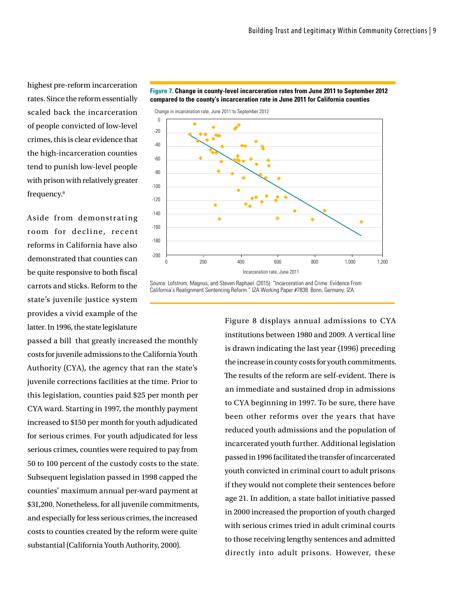highest pre-reform incarceration rates. Since the reform essentially scaled back the incarceration of people convicted of low-level crimes, this is clear evidence that the high-incarceration counties tend to punish low-level people with prison with relatively greater frequency.6

Aside from demonstrating room for decline, recent reforms in California have also demonstrated that counties can be quite responsive to both fscal carrots and sticks. Reform to the state's juvenile justice system provides a vivid example of the latter. In 1996, the state legislature

passed a bill that greatly increased the monthly costs for juvenile admissions to the California Youth Authority (CYA), the agency that ran the state's juvenile corrections facilities at the time. Prior to this legislation, counties paid \$25 per month per CYA ward. Starting in 1997, the monthly payment increased to \$150 per month for youth adjudicated for serious crimes. For youth adjudicated for less serious crimes, counties were required to pay from 50 to 100 percent of the custody costs to the state. Subsequent legislation passed in 1998 capped the counties' maximum annual per-ward payment at \$31,200. Nonetheless, for all juvenile commitments, and especially for less serious crimes, the increased costs to counties created by the reform were quite substantial (California Youth Authority, 2000).



Source: Lofstrom, Magnus, and Steven Raphael. (2015). "Incarceration and Crime: Evidence From California's Realignment Sentencing Reform." IZA Working Paper #7838. Bonn, Germany: IZA.

> Figure 8 displays annual admissions to CYA institutions between 1980 and 2009. A vertical line is drawn indicating the last year (1996) preceding the increase in county costs for youth commitments. The results of the reform are self-evident. There is an immediate and sustained drop in admissions to CYA beginning in 1997. To be sure, there have been other reforms over the years that have reduced youth admissions and the population of incarcerated youth further. Additional legislation passed in 1996 facilitated the transfer of incarcerated youth convicted in criminal court to adult prisons if they would not complete their sentences before age 21. In addition, a state ballot initiative passed in 2000 increased the proportion of youth charged with serious crimes tried in adult criminal courts to those receiving lengthy sentences and admitted directly into adult prisons. However, these

**Figure 7. Change in county-level incarceration rates from June 2011 to September 2012 compared to the county's incarceration rate in June 2011 for California counties**

Change in incarceration rate, June 2011 to September 2012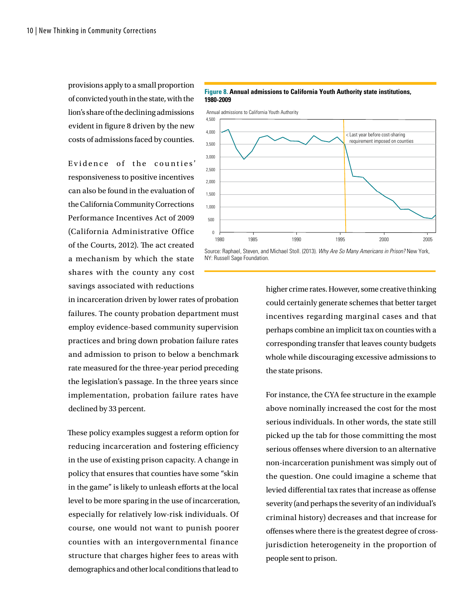provisions apply to a small proportion of convicted youth in the state, with the lion's share of the declining admissions evident in fgure 8 driven by the new costs of admissions faced by counties.

Evidence of the counties' responsiveness to positive incentives can also be found in the evaluation of the California Community Corrections Performance Incentives Act of 2009 (California Administrative Office of the Courts, 2012). The act created a mechanism by which the state shares with the county any cost savings associated with reductions

in incarceration driven by lower rates of probation failures. The county probation department must employ evidence-based community supervision practices and bring down probation failure rates and admission to prison to below a benchmark rate measured for the three-year period preceding the legislation's passage. In the three years since implementation, probation failure rates have declined by 33 percent.

These policy examples suggest a reform option for reducing incarceration and fostering efficiency in the use of existing prison capacity. A change in policy that ensures that counties have some "skin in the game" is likely to unleash efforts at the local level to be more sparing in the use of incarceration, especially for relatively low-risk individuals. Of course, one would not want to punish poorer counties with an intergovernmental finance structure that charges higher fees to areas with demographics and other local conditions that lead to

#### **Figure 8. Annual admissions to California Youth Authority state institutions, 1980-2009**

Annual admissions to California Youth Authority



Source: Raphael, Steven, and Michael Stoll. (2013). *Why Are So Many Americans in Prison?* New York, NY: Russell Sage Foundation.

> higher crime rates. However, some creative thinking could certainly generate schemes that better target incentives regarding marginal cases and that perhaps combine an implicit tax on counties with a corresponding transfer that leaves county budgets whole while discouraging excessive admissions to the state prisons.

> For instance, the CYA fee structure in the example above nominally increased the cost for the most serious individuals. In other words, the state still picked up the tab for those committing the most serious offenses where diversion to an alternative non-incarceration punishment was simply out of the question. One could imagine a scheme that levied diferential tax rates that increase as ofense severity (and perhaps the severity of an individual's criminal history) decreases and that increase for ofenses where there is the greatest degree of crossjurisdiction heterogeneity in the proportion of people sent to prison.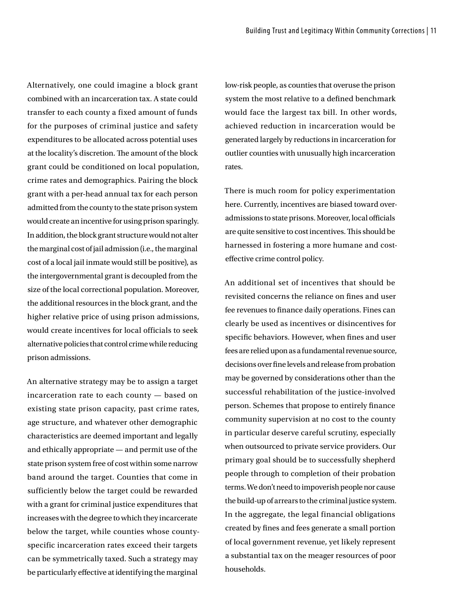Alternatively, one could imagine a block grant combined with an incarceration tax. A state could transfer to each county a fixed amount of funds for the purposes of criminal justice and safety expenditures to be allocated across potential uses at the locality's discretion. The amount of the block grant could be conditioned on local population, crime rates and demographics. Pairing the block grant with a per-head annual tax for each person admitted from the county to the state prison system would create an incentive for using prison sparingly. In addition, the block grant structure would not alter the marginal cost of jail admission (i.e., the marginal cost of a local jail inmate would still be positive), as the intergovernmental grant is decoupled from the size of the local correctional population. Moreover, the additional resources in the block grant, and the higher relative price of using prison admissions, would create incentives for local officials to seek alternative policies that control crime while reducing prison admissions.

An alternative strategy may be to assign a target incarceration rate to each county — based on existing state prison capacity, past crime rates, age structure, and whatever other demographic characteristics are deemed important and legally and ethically appropriate — and permit use of the state prison system free of cost within some narrow band around the target. Counties that come in sufficiently below the target could be rewarded with a grant for criminal justice expenditures that increases with the degree to which they incarcerate below the target, while counties whose countyspecific incarceration rates exceed their targets can be symmetrically taxed. Such a strategy may be particularly efective at identifying the marginal

low-risk people, as counties that overuse the prison system the most relative to a defned benchmark would face the largest tax bill. In other words, achieved reduction in incarceration would be generated largely by reductions in incarceration for outlier counties with unusually high incarceration rates.

There is much room for policy experimentation here. Currently, incentives are biased toward overadmissions to state prisons. Moreover, local officials are quite sensitive to cost incentives. This should be harnessed in fostering a more humane and costefective crime control policy.

An additional set of incentives that should be revisited concerns the reliance on fines and user fee revenues to fnance daily operations. Fines can clearly be used as incentives or disincentives for specific behaviors. However, when fines and user fees are relied upon as a fundamental revenue source, decisions over fne levels and release from probation may be governed by considerations other than the successful rehabilitation of the justice-involved person. Schemes that propose to entirely fnance community supervision at no cost to the county in particular deserve careful scrutiny, especially when outsourced to private service providers. Our primary goal should be to successfully shepherd people through to completion of their probation terms. We don't need to impoverish people nor cause the build-up of arrears to the criminal justice system. In the aggregate, the legal financial obligations created by fnes and fees generate a small portion of local government revenue, yet likely represent a substantial tax on the meager resources of poor households.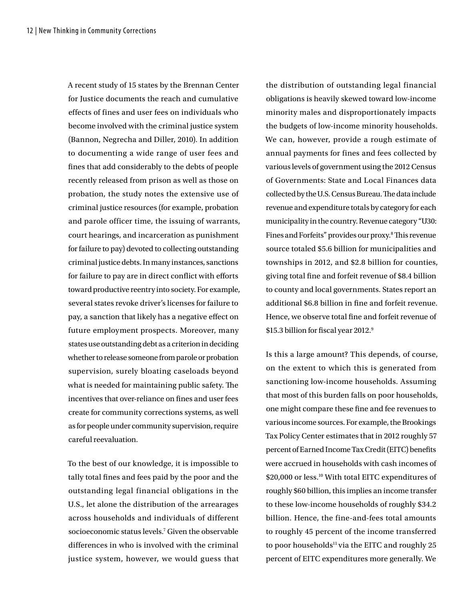A recent study of 15 states by the Brennan Center for Justice documents the reach and cumulative effects of fines and user fees on individuals who become involved with the criminal justice system (Bannon, Negrecha and Diller, 2010). In addition to documenting a wide range of user fees and fnes that add considerably to the debts of people recently released from prison as well as those on probation, the study notes the extensive use of criminal justice resources (for example, probation and parole officer time, the issuing of warrants, court hearings, and incarceration as punishment for failure to pay) devoted to collecting outstanding criminal justice debts. In many instances, sanctions for failure to pay are in direct conflict with efforts toward productive reentry into society. For example, several states revoke driver's licenses for failure to pay, a sanction that likely has a negative efect on future employment prospects. Moreover, many states use outstanding debt as a criterion in deciding whether to release someone from parole or probation supervision, surely bloating caseloads beyond what is needed for maintaining public safety. The incentives that over-reliance on fines and user fees create for community corrections systems, as well as for people under community supervision, require careful reevaluation.

To the best of our knowledge, it is impossible to tally total fnes and fees paid by the poor and the outstanding legal financial obligations in the U.S., let alone the distribution of the arrearages across households and individuals of different socioeconomic status levels.<sup>7</sup> Given the observable differences in who is involved with the criminal justice system, however, we would guess that

the distribution of outstanding legal financial obligations is heavily skewed toward low-income minority males and disproportionately impacts the budgets of low-income minority households. We can, however, provide a rough estimate of annual payments for fines and fees collected by various levels of government using the 2012 Census of Governments: State and Local Finances data collected by the U.S. Census Bureau. The data include revenue and expenditure totals by category for each municipality in the country. Revenue category "U30: Fines and Forfeits" provides our proxy.<sup>8</sup> This revenue source totaled \$5.6 billion for municipalities and townships in 2012, and \$2.8 billion for counties, giving total fne and forfeit revenue of \$8.4 billion to county and local governments. States report an additional \$6.8 billion in fne and forfeit revenue. Hence, we observe total fine and forfeit revenue of \$15.3 billion for fiscal year 2012.<sup>9</sup>

Is this a large amount? This depends, of course, on the extent to which this is generated from sanctioning low-income households. Assuming that most of this burden falls on poor households, one might compare these fne and fee revenues to various income sources. For example, the Brookings Tax Policy Center estimates that in 2012 roughly 57 percent of Earned Income Tax Credit (EITC) benefts were accrued in households with cash incomes of \$20,000 or less.<sup>10</sup> With total EITC expenditures of roughly \$60 billion, this implies an income transfer to these low-income households of roughly \$34.2 billion. Hence, the fine-and-fees total amounts to roughly 45 percent of the income transferred to poor households $11$  via the EITC and roughly 25 percent of EITC expenditures more generally. We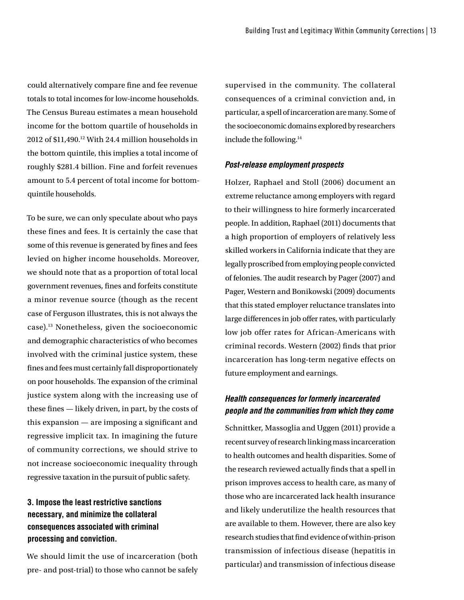could alternatively compare fne and fee revenue totals to total incomes for low-income households. The Census Bureau estimates a mean household income for the bottom quartile of households in 2012 of \$11,490.12 With 24.4 million households in the bottom quintile, this implies a total income of roughly \$281.4 billion. Fine and forfeit revenues amount to 5.4 percent of total income for bottomquintile households.

To be sure, we can only speculate about who pays these fines and fees. It is certainly the case that some of this revenue is generated by fines and fees levied on higher income households. Moreover, we should note that as a proportion of total local government revenues, fnes and forfeits constitute a minor revenue source (though as the recent case of Ferguson illustrates, this is not always the case).13 Nonetheless, given the socioeconomic and demographic characteristics of who becomes involved with the criminal justice system, these fnes and fees must certainly fall disproportionately on poor households. The expansion of the criminal justice system along with the increasing use of these fnes — likely driven, in part, by the costs of this expansion — are imposing a signifcant and regressive implicit tax. In imagining the future of community corrections, we should strive to not increase socioeconomic inequality through regressive taxation in the pursuit of public safety.

## **3. Impose the least restrictive sanctions necessary, and minimize the collateral consequences associated with criminal processing and conviction.**

We should limit the use of incarceration (both pre- and post-trial) to those who cannot be safely

supervised in the community. The collateral consequences of a criminal conviction and, in particular, a spell of incarceration are many. Some of the socioeconomic domains explored by researchers include the following.14

#### *Post-release employment prospects*

Holzer, Raphael and Stoll (2006) document an extreme reluctance among employers with regard to their willingness to hire formerly incarcerated people. In addition, Raphael (2011) documents that a high proportion of employers of relatively less skilled workers in California indicate that they are legally proscribed from employing people convicted of felonies. The audit research by Pager (2007) and Pager, Western and Bonikowski (2009) documents that this stated employer reluctance translates into large differences in job offer rates, with particularly low job offer rates for African-Americans with criminal records. Western (2002) fnds that prior incarceration has long-term negative effects on future employment and earnings.

#### *Health consequences for formerly incarcerated people and the communities from which they come*

Schnittker, Massoglia and Uggen (2011) provide a recent survey of research linking mass incarceration to health outcomes and health disparities. Some of the research reviewed actually fnds that a spell in prison improves access to health care, as many of those who are incarcerated lack health insurance and likely underutilize the health resources that are available to them. However, there are also key research studies that fnd evidence of within-prison transmission of infectious disease (hepatitis in particular) and transmission of infectious disease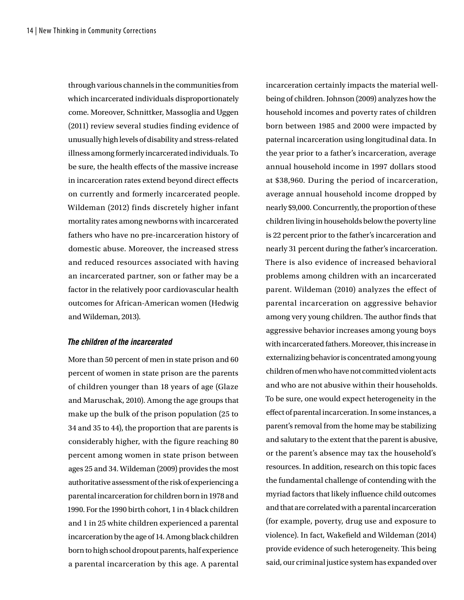through various channels in the communities from which incarcerated individuals disproportionately come. Moreover, Schnittker, Massoglia and Uggen (2011) review several studies finding evidence of unusually high levels of disability and stress-related illness among formerly incarcerated individuals. To be sure, the health efects of the massive increase in incarceration rates extend beyond direct efects on currently and formerly incarcerated people. Wildeman (2012) finds discretely higher infant mortality rates among newborns with incarcerated fathers who have no pre-incarceration history of domestic abuse. Moreover, the increased stress and reduced resources associated with having an incarcerated partner, son or father may be a factor in the relatively poor cardiovascular health outcomes for African-American women (Hedwig and Wildeman, 2013).

#### *The children of the incarcerated*

More than 50 percent of men in state prison and 60 percent of women in state prison are the parents of children younger than 18 years of age (Glaze and Maruschak, 2010). Among the age groups that make up the bulk of the prison population (25 to 34 and 35 to 44), the proportion that are parents is considerably higher, with the figure reaching 80 percent among women in state prison between ages 25 and 34. Wildeman (2009) provides the most authoritative assessment of the risk of experiencing a parental incarceration for children born in 1978 and 1990. For the 1990 birth cohort, 1 in 4 black children and 1 in 25 white children experienced a parental incarceration by the age of 14. Among black children born to high school dropout parents, half experience a parental incarceration by this age. A parental

incarceration certainly impacts the material wellbeing of children. Johnson (2009) analyzes how the household incomes and poverty rates of children born between 1985 and 2000 were impacted by paternal incarceration using longitudinal data. In the year prior to a father's incarceration, average annual household income in 1997 dollars stood at \$38,960. During the period of incarceration, average annual household income dropped by nearly \$9,000. Concurrently, the proportion of these children living in households below the poverty line is 22 percent prior to the father's incarceration and nearly 31 percent during the father's incarceration. There is also evidence of increased behavioral problems among children with an incarcerated parent. Wildeman (2010) analyzes the effect of parental incarceration on aggressive behavior among very young children. The author finds that aggressive behavior increases among young boys with incarcerated fathers. Moreover, this increase in externalizing behavior is concentrated among young children of men who have not committed violent acts and who are not abusive within their households. To be sure, one would expect heterogeneity in the efect of parental incarceration. In some instances, a parent's removal from the home may be stabilizing and salutary to the extent that the parent is abusive, or the parent's absence may tax the household's resources. In addition, research on this topic faces the fundamental challenge of contending with the myriad factors that likely infuence child outcomes and that are correlated with a parental incarceration (for example, poverty, drug use and exposure to violence). In fact, Wakefield and Wildeman (2014) provide evidence of such heterogeneity. This being said, our criminal justice system has expanded over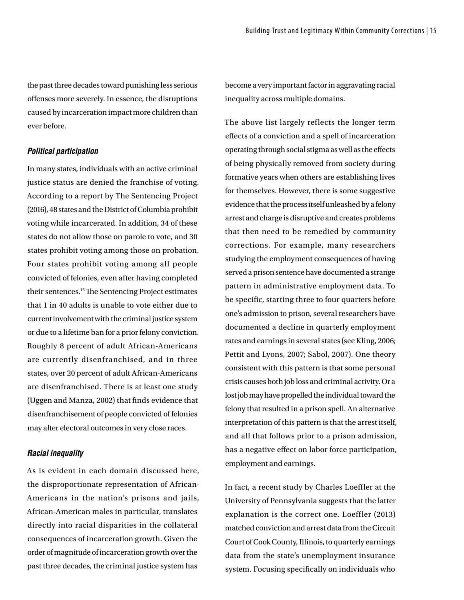the past three decades toward punishing less serious ofenses more severely. In essence, the disruptions caused by incarceration impact more children than ever before.

#### *Political participation*

In many states, individuals with an active criminal justice status are denied the franchise of voting. According to a report by The Sentencing Project (2016), 48 states and the District of Columbia prohibit voting while incarcerated. In addition, 34 of these states do not allow those on parole to vote, and 30 states prohibit voting among those on probation. Four states prohibit voting among all people convicted of felonies, even after having completed their sentences.<sup>15</sup> The Sentencing Project estimates that 1 in 40 adults is unable to vote either due to current involvement with the criminal justice system or due to a lifetime ban for a prior felony conviction. Roughly 8 percent of adult African-Americans are currently disenfranchised, and in three states, over 20 percent of adult African-Americans are disenfranchised. There is at least one study (Uggen and Manza, 2002) that fnds evidence that disenfranchisement of people convicted of felonies may alter electoral outcomes in very close races.

#### *Racial inequality*

As is evident in each domain discussed here, the disproportionate representation of African-Americans in the nation's prisons and jails, African-American males in particular, translates directly into racial disparities in the collateral consequences of incarceration growth. Given the order of magnitude of incarceration growth over the past three decades, the criminal justice system has

become a very important factor in aggravating racial inequality across multiple domains.

The above list largely reflects the longer term efects of a conviction and a spell of incarceration operating through social stigma as well as the efects of being physically removed from society during formative years when others are establishing lives for themselves. However, there is some suggestive evidence that the process itself unleashed by a felony arrest and charge is disruptive and creates problems that then need to be remedied by community corrections. For example, many researchers studying the employment consequences of having served a prison sentence have documented a strange pattern in administrative employment data. To be specifc, starting three to four quarters before one's admission to prison, several researchers have documented a decline in quarterly employment rates and earnings in several states (see Kling, 2006; Pettit and Lyons, 2007; Sabol, 2007). One theory consistent with this pattern is that some personal crisis causes both job loss and criminal activity. Or a lost job may have propelled the individual toward the felony that resulted in a prison spell. An alternative interpretation of this pattern is that the arrest itself, and all that follows prior to a prison admission, has a negative efect on labor force participation, employment and earnings.

In fact, a recent study by Charles Loeffler at the University of Pennsylvania suggests that the latter explanation is the correct one. Loeffler (2013) matched conviction and arrest data from the Circuit Court of Cook County, Illinois, to quarterly earnings data from the state's unemployment insurance system. Focusing specifcally on individuals who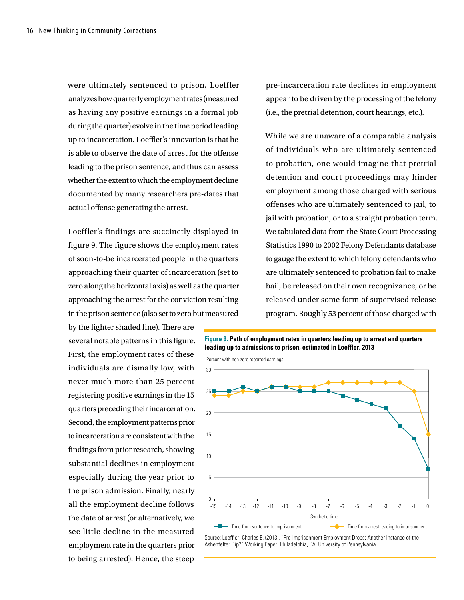were ultimately sentenced to prison, Loeffler analyzes how quarterly employment rates (measured as having any positive earnings in a formal job during the quarter) evolve in the time period leading up to incarceration. Loeffler's innovation is that he is able to observe the date of arrest for the offense leading to the prison sentence, and thus can assess whether the extent to which the employment decline documented by many researchers pre-dates that actual offense generating the arrest.

Loeffler's findings are succinctly displayed in figure 9. The figure shows the employment rates of soon-to-be incarcerated people in the quarters approaching their quarter of incarceration (set to zero along the horizontal axis) as well as the quarter approaching the arrest for the conviction resulting in the prison sentence (also set to zero but measured

by the lighter shaded line). There are several notable patterns in this figure. First, the employment rates of these individuals are dismally low, with never much more than 25 percent registering positive earnings in the 15 quarters preceding their incarceration. Second, the employment patterns prior to incarceration are consistent with the fndings from prior research, showing substantial declines in employment especially during the year prior to the prison admission. Finally, nearly all the employment decline follows the date of arrest (or alternatively, we see little decline in the measured employment rate in the quarters prior to being arrested). Hence, the steep

pre-incarceration rate declines in employment appear to be driven by the processing of the felony (i.e., the pretrial detention, court hearings, etc.).

While we are unaware of a comparable analysis of individuals who are ultimately sentenced to probation, one would imagine that pretrial detention and court proceedings may hinder employment among those charged with serious offenses who are ultimately sentenced to jail, to jail with probation, or to a straight probation term. We tabulated data from the State Court Processing Statistics 1990 to 2002 Felony Defendants database to gauge the extent to which felony defendants who are ultimately sentenced to probation fail to make bail, be released on their own recognizance, or be released under some form of supervised release program. Roughly 53 percent of those charged with

**Figure 9. Path of employment rates in quarters leading up to arrest and quarters leading up to admissions to prison, estimated in Loeffler, 2013**

Percent with non-zero reported earnings



Source: Loeffler, Charles E. (2013). "Pre-Imprisonment Employment Drops: Another Instance of the Ashenfelter Dip?" Working Paper. Philadelphia, PA: University of Pennsylvania.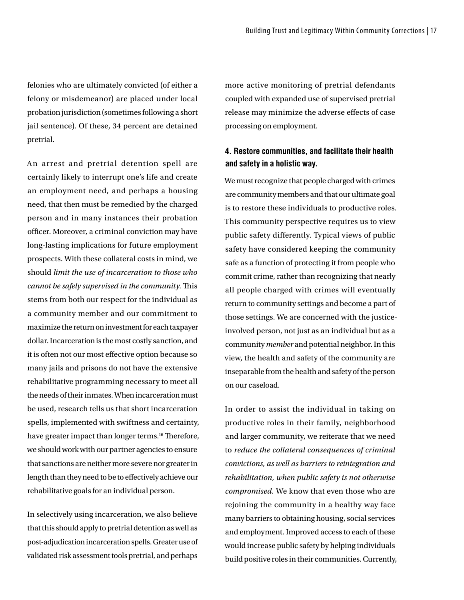felonies who are ultimately convicted (of either a felony or misdemeanor) are placed under local probation jurisdiction (sometimes following a short jail sentence). Of these, 34 percent are detained pretrial.

An arrest and pretrial detention spell are certainly likely to interrupt one's life and create an employment need, and perhaps a housing need, that then must be remedied by the charged person and in many instances their probation officer. Moreover, a criminal conviction may have long-lasting implications for future employment prospects. With these collateral costs in mind, we should *limit the use of incarceration to those who cannot be safely supervised in the community.* This stems from both our respect for the individual as a community member and our commitment to maximize the return on investment for each taxpayer dollar. Incarceration is the most costly sanction, and it is often not our most efective option because so many jails and prisons do not have the extensive rehabilitative programming necessary to meet all the needs of their inmates. When incarceration must be used, research tells us that short incarceration spells, implemented with swiftness and certainty, have greater impact than longer terms.<sup>16</sup> Therefore, we should work with our partner agencies to ensure that sanctions are neither more severe nor greater in length than they need to be to efectively achieve our rehabilitative goals for an individual person.

In selectively using incarceration, we also believe that this should apply to pretrial detention as well as post-adjudication incarceration spells. Greater use of validated risk assessment tools pretrial, and perhaps

more active monitoring of pretrial defendants coupled with expanded use of supervised pretrial release may minimize the adverse efects of case processing on employment.

## **4. Restore communities, and facilitate their health and safety in a holistic way.**

We must recognize that people charged with crimes are community members and that our ultimate goal is to restore these individuals to productive roles. This community perspective requires us to view public safety differently. Typical views of public safety have considered keeping the community safe as a function of protecting it from people who commit crime, rather than recognizing that nearly all people charged with crimes will eventually return to community settings and become a part of those settings. We are concerned with the justiceinvolved person, not just as an individual but as a community *member* and potential neighbor. In this view, the health and safety of the community are inseparable from the health and safety of the person on our caseload.

In order to assist the individual in taking on productive roles in their family, neighborhood and larger community, we reiterate that we need to *reduce the collateral consequences of criminal convictions, as well as barriers to reintegration and rehabilitation, when public safety is not otherwise compromised.* We know that even those who are rejoining the community in a healthy way face many barriers to obtaining housing, social services and employment. Improved access to each of these would increase public safety by helping individuals build positive roles in their communities. Currently,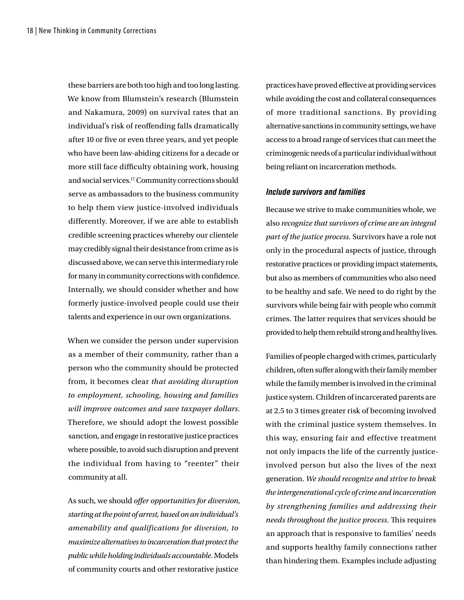these barriers are both too high and too long lasting. We know from Blumstein's research (Blumstein and Nakamura, 2009) on survival rates that an individual's risk of reofending falls dramatically after 10 or five or even three years, and yet people who have been law-abiding citizens for a decade or more still face difficulty obtaining work, housing and social services.17 Community corrections should serve as ambassadors to the business community to help them view justice-involved individuals differently. Moreover, if we are able to establish credible screening practices whereby our clientele may credibly signal their desistance from crime as is discussed above, we can serve this intermediary role for many in community corrections with confdence. Internally, we should consider whether and how formerly justice-involved people could use their talents and experience in our own organizations.

When we consider the person under supervision as a member of their community, rather than a person who the community should be protected from, it becomes clear *that avoiding disruption to employment, schooling, housing and families will improve outcomes and save taxpayer dollars*. Therefore, we should adopt the lowest possible sanction, and engage in restorative justice practices where possible, to avoid such disruption and prevent the individual from having to "reenter" their community at all.

As such, we should *ofer opportunities for diversion, starting at the point of arrest, based on an individual's amenability and qualifications for diversion, to maximize alternatives to incarceration that protect the public while holding individuals accountable*. Models of community courts and other restorative justice

practices have proved efective at providing services while avoiding the cost and collateral consequences of more traditional sanctions. By providing alternative sanctions in community settings, we have access to a broad range of services that can meet the criminogenic needs of a particular individual without being reliant on incarceration methods.

#### *Include survivors and families*

Because we strive to make communities whole, we also *recognize that survivors of crime are an integral part of the justice process.* Survivors have a role not only in the procedural aspects of justice, through restorative practices or providing impact statements, but also as members of communities who also need to be healthy and safe. We need to do right by the survivors while being fair with people who commit crimes. The latter requires that services should be provided to help them rebuild strong and healthy lives.

Families of people charged with crimes, particularly children, often suffer along with their family member while the family member is involved in the criminal justice system. Children of incarcerated parents are at 2.5 to 3 times greater risk of becoming involved with the criminal justice system themselves. In this way, ensuring fair and effective treatment not only impacts the life of the currently justiceinvolved person but also the lives of the next generation. *We should recognize and strive to break the intergenerational cycle of crime and incarceration by strengthening families and addressing their needs throughout the justice process.* This requires an approach that is responsive to families' needs and supports healthy family connections rather than hindering them. Examples include adjusting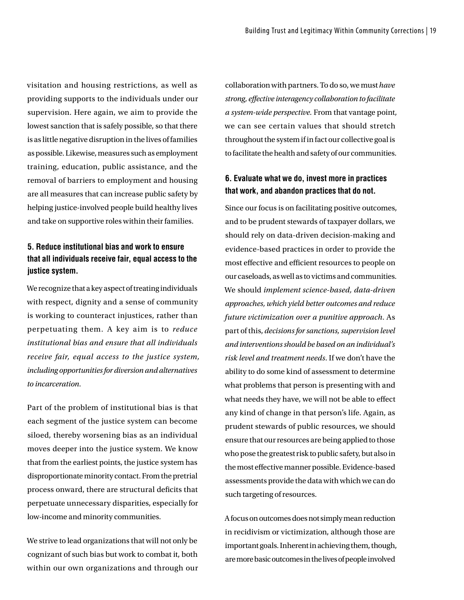visitation and housing restrictions, as well as providing supports to the individuals under our supervision. Here again, we aim to provide the lowest sanction that is safely possible, so that there is as little negative disruption in the lives of families as possible. Likewise, measures such as employment training, education, public assistance, and the removal of barriers to employment and housing are all measures that can increase public safety by helping justice-involved people build healthy lives and take on supportive roles within their families.

## **5. Reduce institutional bias and work to ensure that all individuals receive fair, equal access to the justice system.**

We recognize that a key aspect of treating individuals with respect, dignity and a sense of community is working to counteract injustices, rather than perpetuating them. A key aim is to *reduce institutional bias and ensure that all individuals receive fair, equal access to the justice system, including opportunities for diversion and alternatives to incarceration.*

Part of the problem of institutional bias is that each segment of the justice system can become siloed, thereby worsening bias as an individual moves deeper into the justice system. We know that from the earliest points, the justice system has disproportionate minority contact. From the pretrial process onward, there are structural deficits that perpetuate unnecessary disparities, especially for low-income and minority communities.

We strive to lead organizations that will not only be cognizant of such bias but work to combat it, both within our own organizations and through our

collaboration with partners. To do so, we must *have strong, efective interagency collaboration to facilitate a system-wide perspective.* From that vantage point, we can see certain values that should stretch throughout the system if in fact our collective goal is to facilitate the health and safety of our communities.

### **6. Evaluate what we do, invest more in practices that work, and abandon practices that do not.**

Since our focus is on facilitating positive outcomes, and to be prudent stewards of taxpayer dollars, we should rely on data-driven decision-making and evidence-based practices in order to provide the most effective and efficient resources to people on our caseloads, as well as to victims and communities. We should *implement science-based, data-driven approaches, which yield better outcomes and reduce future victimization over a punitive approach*. As part of this, *decisions for sanctions, supervision level and interventions should be based on an individual's risk level and treatment needs*. If we don't have the ability to do some kind of assessment to determine what problems that person is presenting with and what needs they have, we will not be able to efect any kind of change in that person's life. Again, as prudent stewards of public resources, we should ensure that our resources are being applied to those who pose the greatest risk to public safety, but also in the most efective manner possible. Evidence-based assessments provide the data with which we can do such targeting of resources.

A focus on outcomes does not simply mean reduction in recidivism or victimization, although those are important goals. Inherent in achieving them, though, are more basic outcomes in the lives of people involved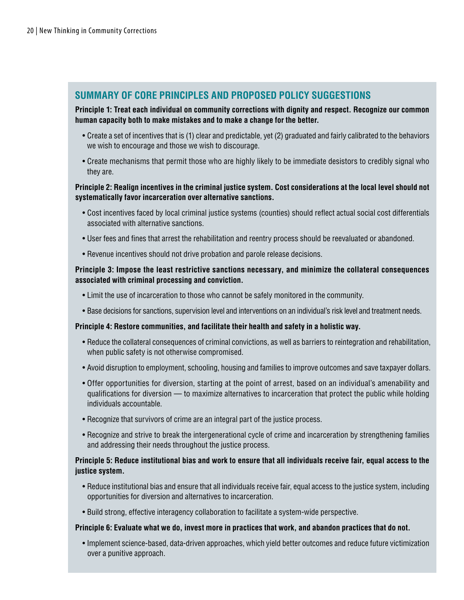## **SUMMARY OF CORE PRINCIPLES AND PROPOSED POLICY SUGGESTIONS**

#### **Principle 1: Treat each individual on community corrections with dignity and respect. Recognize our common human capacity both to make mistakes and to make a change for the better.**

- Create a set of incentives that is (1) clear and predictable, yet (2) graduated and fairly calibrated to the behaviors we wish to encourage and those we wish to discourage.
- Create mechanisms that permit those who are highly likely to be immediate desistors to credibly signal who they are.

#### **Principle 2: Realign incentives in the criminal justice system. Cost considerations at the local level should not systematically favor incarceration over alternative sanctions.**

- Cost incentives faced by local criminal justice systems (counties) should reflect actual social cost differentials associated with alternative sanctions.
- User fees and fines that arrest the rehabilitation and reentry process should be reevaluated or abandoned.
- Revenue incentives should not drive probation and parole release decisions.

#### **Principle 3: Impose the least restrictive sanctions necessary, and minimize the collateral consequences associated with criminal processing and conviction.**

- Limit the use of incarceration to those who cannot be safely monitored in the community.
- Base decisions for sanctions, supervision level and interventions on an individual's risk level and treatment needs.

#### **Principle 4: Restore communities, and facilitate their health and safety in a holistic way.**

- Reduce the collateral consequences of criminal convictions, as well as barriers to reintegration and rehabilitation, when public safety is not otherwise compromised.
- Avoid disruption to employment, schooling, housing and families to improve outcomes and save taxpayer dollars.
- Offer opportunities for diversion, starting at the point of arrest, based on an individual's amenability and qualifications for diversion — to maximize alternatives to incarceration that protect the public while holding individuals accountable.
- Recognize that survivors of crime are an integral part of the justice process.
- Recognize and strive to break the intergenerational cycle of crime and incarceration by strengthening families and addressing their needs throughout the justice process.

#### **Principle 5: Reduce institutional bias and work to ensure that all individuals receive fair, equal access to the justice system.**

- Reduce institutional bias and ensure that all individuals receive fair, equal access to the justice system, including opportunities for diversion and alternatives to incarceration.
- Build strong, effective interagency collaboration to facilitate a system-wide perspective.

#### **Principle 6: Evaluate what we do, invest more in practices that work, and abandon practices that do not.**

• Implement science-based, data-driven approaches, which yield better outcomes and reduce future victimization over a punitive approach.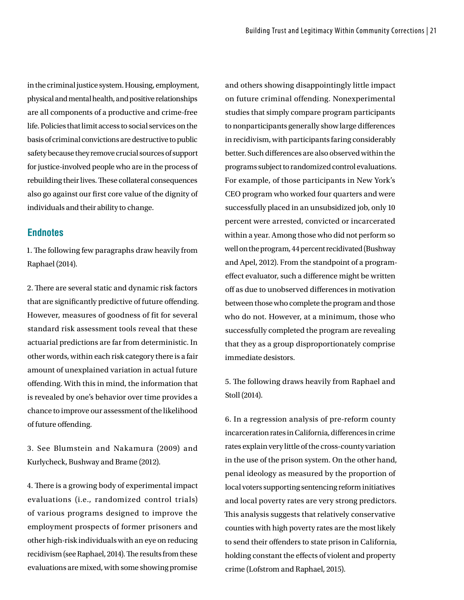in the criminal justice system. Housing, employment, physical and mental health, and positive relationships are all components of a productive and crime-free life. Policies that limit access to social services on the basis of criminal convictions are destructive to public safety because they remove crucial sources of support for justice-involved people who are in the process of rebuilding their lives. These collateral consequences also go against our frst core value of the dignity of individuals and their ability to change.

#### **Endnotes**

1. The following few paragraphs draw heavily from Raphael (2014).

2. There are several static and dynamic risk factors that are signifcantly predictive of future ofending. However, measures of goodness of fit for several standard risk assessment tools reveal that these actuarial predictions are far from deterministic. In other words, within each risk category there is a fair amount of unexplained variation in actual future ofending. With this in mind, the information that is revealed by one's behavior over time provides a chance to improve our assessment of the likelihood of future offending.

3. See Blumstein and Nakamura (2009) and Kurlycheck, Bushway and Brame (2012).

4. There is a growing body of experimental impact evaluations (i.e., randomized control trials) of various programs designed to improve the employment prospects of former prisoners and other high-risk individuals with an eye on reducing recidivism (see Raphael, 2014). The results from these evaluations are mixed, with some showing promise

and others showing disappointingly little impact on future criminal offending. Nonexperimental studies that simply compare program participants to nonparticipants generally show large diferences in recidivism, with participants faring considerably better. Such diferences are also observed within the programs subject to randomized control evaluations. For example, of those participants in New York's CEO program who worked four quarters and were successfully placed in an unsubsidized job, only 10 percent were arrested, convicted or incarcerated within a year. Among those who did not perform so well on the program, 44 percent recidivated (Bushway and Apel, 2012). From the standpoint of a programefect evaluator, such a diference might be written off as due to unobserved differences in motivation between those who complete the program and those who do not. However, at a minimum, those who successfully completed the program are revealing that they as a group disproportionately comprise immediate desistors.

5. The following draws heavily from Raphael and Stoll (2014).

6. In a regression analysis of pre-reform county incarceration rates in California, diferences in crime rates explain very little of the cross-county variation in the use of the prison system. On the other hand, penal ideology as measured by the proportion of local voters supporting sentencing reform initiatives and local poverty rates are very strong predictors. This analysis suggests that relatively conservative counties with high poverty rates are the most likely to send their offenders to state prison in California, holding constant the efects of violent and property crime (Lofstrom and Raphael, 2015).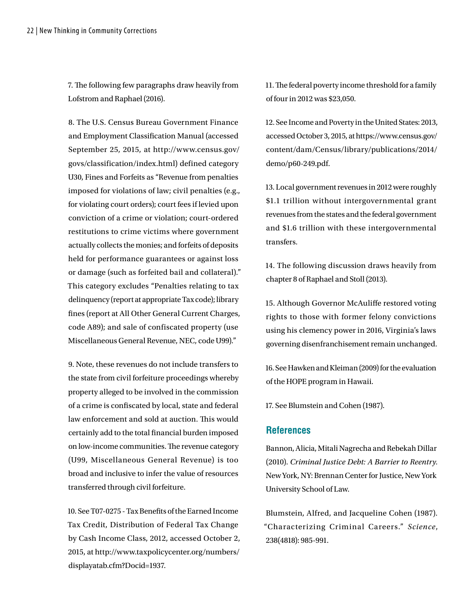7. The following few paragraphs draw heavily from Lofstrom and Raphael (2016).

8. The U.S. Census Bureau Government Finance and Employment Classifcation Manual (accessed September 25, 2015, at http://www.census.gov/ govs/classification/index.html) defined category U30, Fines and Forfeits as "Revenue from penalties imposed for violations of law; civil penalties (e.g., for violating court orders); court fees if levied upon conviction of a crime or violation; court-ordered restitutions to crime victims where government actually collects the monies; and forfeits of deposits held for performance guarantees or against loss or damage (such as forfeited bail and collateral)." This category excludes "Penalties relating to tax delinquency (report at appropriate Tax code); library fines (report at All Other General Current Charges, code A89); and sale of confiscated property (use Miscellaneous General Revenue, NEC, code U99)."

9. Note, these revenues do not include transfers to the state from civil forfeiture proceedings whereby property alleged to be involved in the commission of a crime is confscated by local, state and federal law enforcement and sold at auction. This would certainly add to the total fnancial burden imposed on low-income communities. The revenue category (U99, Miscellaneous General Revenue) is too broad and inclusive to infer the value of resources transferred through civil forfeiture.

10. See T07-0275 - Tax Benefts of the Earned Income Tax Credit, Distribution of Federal Tax Change by Cash Income Class, 2012, accessed October 2, 2015, at http://www.taxpolicycenter.org/numbers/ displayatab.cfm?Docid=1937.

11. The federal poverty income threshold for a family of four in 2012 was \$23,050.

12. See Income and Poverty in the United States: 2013, accessed October 3, 2015, at https://www.census.gov/ content/dam/Census/library/publications/2014/ demo/p60-249.pdf.

13. Local government revenues in 2012 were roughly \$1.1 trillion without intergovernmental grant revenues from the states and the federal government and \$1.6 trillion with these intergovernmental transfers.

14. The following discussion draws heavily from chapter 8 of Raphael and Stoll (2013).

15. Although Governor McAulife restored voting rights to those with former felony convictions using his clemency power in 2016, Virginia's laws governing disenfranchisement remain unchanged.

16. See Hawken and Kleiman (2009) for the evaluation of the HOPE program in Hawaii.

17. See Blumstein and Cohen (1987).

#### **References**

Bannon, Alicia, Mitali Nagrecha and Rebekah Dillar (2010). *Criminal Justice Debt: A Barrier to Reentry.* New York, NY: Brennan Center for Justice, New York University School of Law.

Blumstein, Alfred, and Jacqueline Cohen (1987). "Characterizing Criminal Careers." *Science*, 238(4818): 985-991.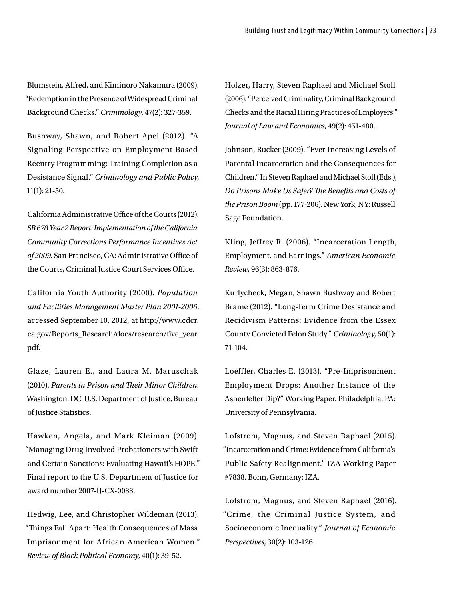Blumstein, Alfred, and Kiminoro Nakamura (2009). "Redemption in the Presence of Widespread Criminal Background Checks." *Criminology*, 47(2): 327-359.

Bushway, Shawn, and Robert Apel (2012). "A Signaling Perspective on Employment-Based Reentry Programming: Training Completion as a Desistance Signal." *Criminology and Public Policy*, 11(1): 21-50.

California Administrative Office of the Courts (2012). *SB 678 Year 2 Report: Implementation of the California Community Corrections Performance Incentives Act*  of 2009. San Francisco, CA: Administrative Office of the Courts, Criminal Justice Court Services Office.

California Youth Authority (2000). *Population and Facilities Management Master Plan 2001-2006*, accessed September 10, 2012, at http://www.cdcr. ca.gov/Reports\_Research/docs/research/five\_year. pdf.

Glaze, Lauren E., and Laura M. Maruschak (2010). *Parents in Prison and Teir Minor Children.*  Washington, DC: U.S. Department of Justice, Bureau of Justice Statistics.

Hawken, Angela, and Mark Kleiman (2009). "Managing Drug Involved Probationers with Swift and Certain Sanctions: Evaluating Hawaii's HOPE." Final report to the U.S. Department of Justice for award number 2007-IJ-CX-0033.

Hedwig, Lee, and Christopher Wildeman (2013). "Things Fall Apart: Health Consequences of Mass Imprisonment for African American Women." *Review of Black Political Economy*, 40(1): 39-52.

Holzer, Harry, Steven Raphael and Michael Stoll (2006). "Perceived Criminality, Criminal Background Checks and the Racial Hiring Practices of Employers." *Journal of Law and Economics*, 49(2): 451-480.

Johnson, Rucker (2009). "Ever-Increasing Levels of Parental Incarceration and the Consequences for Children." In Steven Raphael and Michael Stoll (Eds.), *Do Prisons Make Us Safer? Te Benefts and Costs of the Prison Boom* (pp. 177-206). New York, NY: Russell Sage Foundation.

Kling, Jeffrey R. (2006). "Incarceration Length, Employment, and Earnings." *American Economic Review*, 96(3): 863-876.

Kurlycheck, Megan, Shawn Bushway and Robert Brame (2012). "Long-Term Crime Desistance and Recidivism Patterns: Evidence from the Essex County Convicted Felon Study." *Criminology*, 50(1): 71-104.

Loeffler, Charles E. (2013). "Pre-Imprisonment Employment Drops: Another Instance of the Ashenfelter Dip?" Working Paper. Philadelphia, PA: University of Pennsylvania.

Lofstrom, Magnus, and Steven Raphael (2015). "Incarceration and Crime: Evidence from California's Public Safety Realignment." IZA Working Paper #7838. Bonn, Germany: IZA.

Lofstrom, Magnus, and Steven Raphael (2016). "Crime, the Criminal Justice System, and Socioeconomic Inequality." *Journal of Economic Perspectives*, 30(2): 103-126.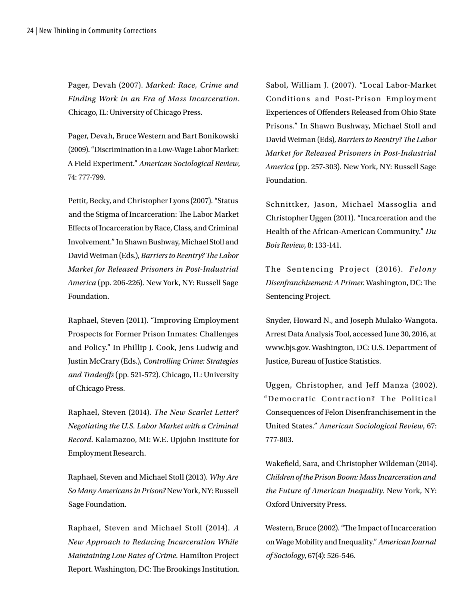Pager, Devah (2007). *Marked: Race, Crime and Finding Work in an Era of Mass Incarceration*. Chicago, IL: University of Chicago Press.

Pager, Devah, Bruce Western and Bart Bonikowski (2009). "Discrimination in a Low-Wage Labor Market: A Field Experiment." *American Sociological Review*, 74: 777-799.

Pettit, Becky, and Christopher Lyons (2007). "Status and the Stigma of Incarceration: The Labor Market Efects of Incarceration by Race, Class, and Criminal Involvement." In Shawn Bushway, Michael Stoll and David Weiman (Eds.), *Barriers to Reentry? Te Labor Market for Released Prisoners in Post-Industrial America* (pp. 206-226). New York, NY: Russell Sage Foundation.

Raphael, Steven (2011). "Improving Employment Prospects for Former Prison Inmates: Challenges and Policy." In Phillip J. Cook, Jens Ludwig and Justin McCrary (Eds.), *Controlling Crime: Strategies and Tradeofs* (pp. 521-572). Chicago, IL: University of Chicago Press.

Raphael, Steven (2014). *The New Scarlet Letter? Negotiating the U.S. Labor Market with a Criminal Record.* Kalamazoo, MI: W.E. Upjohn Institute for Employment Research.

Raphael, Steven and Michael Stoll (2013). *Why Are So Many Americans in Prison?* New York, NY: Russell Sage Foundation.

Raphael, Steven and Michael Stoll (2014). *A New Approach to Reducing Incarceration While Maintaining Low Rates of Crime.* Hamilton Project Report. Washington, DC: The Brookings Institution.

Sabol, William J. (2007). "Local Labor-Market Conditions and Post-Prison Employment Experiences of Ofenders Released from Ohio State Prisons." In Shawn Bushway, Michael Stoll and David Weiman (Eds), *Barriers to Reentry? Te Labor Market for Released Prisoners in Post-Industrial America* (pp. 257-303)*.* New York, NY: Russell Sage Foundation.

Schnittker, Jason, Michael Massoglia and Christopher Uggen (2011). "Incarceration and the Health of the African-American Community." *Du Bois Review*, 8: 133-141.

The Sentencing Project (2016). Felony Disenfranchisement: A Primer. Washington, DC: The Sentencing Project.

Snyder, Howard N., and Joseph Mulako-Wangota. Arrest Data Analysis Tool, accessed June 30, 2016, at www.bjs.gov. Washington, DC: U.S. Department of Justice, Bureau of Justice Statistics.

Uggen, Christopher, and Jeff Manza (2002). "Democratic Contraction? The Political Consequences of Felon Disenfranchisement in the United States." *American Sociological Review*, 67: 777-803.

Wakefeld, Sara, and Christopher Wildeman (2014). *Children of the Prison Boom: Mass Incarceration and the Future of American Inequality.* New York, NY: Oxford University Press.

Western, Bruce (2002). "The Impact of Incarceration on Wage Mobility and Inequality." *American Journal of Sociology*, 67(4): 526-546.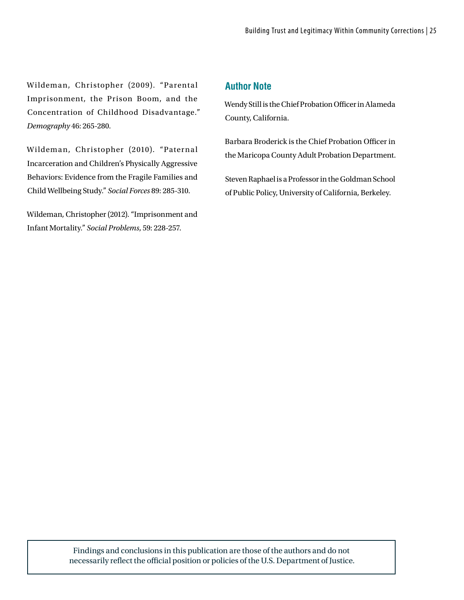Wildeman, Christopher (2009). "Parental Imprisonment, the Prison Boom, and the Concentration of Childhood Disadvantage." *Demography* 46: 265-280.

Wildeman, Christopher (2010). "Paternal Incarceration and Children's Physically Aggressive Behaviors: Evidence from the Fragile Families and Child Wellbeing Study." *Social Forces* 89: 285-310.

Wildeman, Christopher (2012). "Imprisonment and Infant Mortality." *Social Problems*, 59: 228-257.

## **Author Note**

Wendy Still is the Chief Probation Officer in Alameda County, California.

Barbara Broderick is the Chief Probation Officer in the Maricopa County Adult Probation Department.

Steven Raphael is a Professor in the Goldman School of Public Policy, University of California, Berkeley.

Findings and conclusions in this publication are those of the authors and do not necessarily reflect the official position or policies of the U.S. Department of Justice.